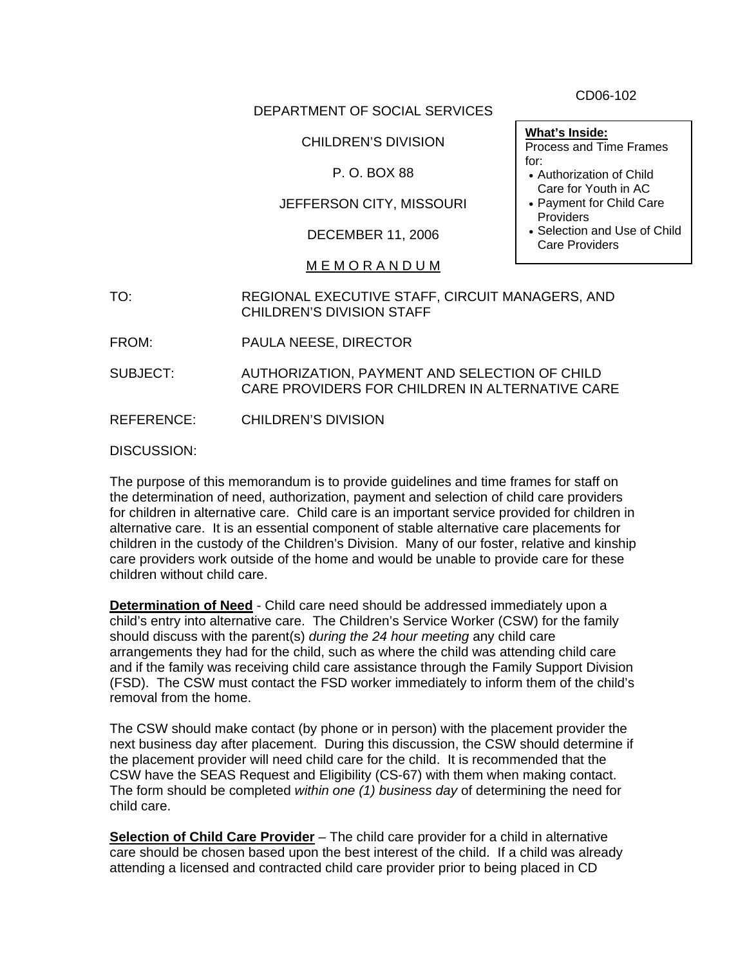DEPARTMENT OF SOCIAL SERVICES

CHILDREN'S DIVISION

P. O. BOX 88

JEFFERSON CITY, MISSOURI

DECEMBER 11, 2006

### M E M O R A N D U M

TO: REGIONAL EXECUTIVE STAFF, CIRCUIT MANAGERS, AND CHILDREN'S DIVISION STAFF

FROM: PAULA NEESE, DIRECTOR

SUBJECT: AUTHORIZATION, PAYMENT AND SELECTION OF CHILD CARE PROVIDERS FOR CHILDREN IN ALTERNATIVE CARE

REFERENCE: CHILDREN'S DIVISION

DISCUSSION:

The purpose of this memorandum is to provide guidelines and time frames for staff on the determination of need, authorization, payment and selection of child care providers for children in alternative care. Child care is an important service provided for children in alternative care. It is an essential component of stable alternative care placements for children in the custody of the Children's Division. Many of our foster, relative and kinship care providers work outside of the home and would be unable to provide care for these children without child care.

**Determination of Need** - Child care need should be addressed immediately upon a child's entry into alternative care. The Children's Service Worker (CSW) for the family should discuss with the parent(s) *during the 24 hour meeting* any child care arrangements they had for the child, such as where the child was attending child care and if the family was receiving child care assistance through the Family Support Division (FSD). The CSW must contact the FSD worker immediately to inform them of the child's removal from the home.

The CSW should make contact (by phone or in person) with the placement provider the next business day after placement. During this discussion, the CSW should determine if the placement provider will need child care for the child. It is recommended that the CSW have the SEAS Request and Eligibility (CS-67) with them when making contact. The form should be completed *within one (1) business day* of determining the need for child care.

**Selection of Child Care Provider** – The child care provider for a child in alternative care should be chosen based upon the best interest of the child. If a child was already attending a licensed and contracted child care provider prior to being placed in CD

CD06-102

**What's Inside:** 

Process and Time Frames for:

- Authorization of Child Care for Youth in AC
- Payment for Child Care **Providers**
- Selection and Use of Child Care Providers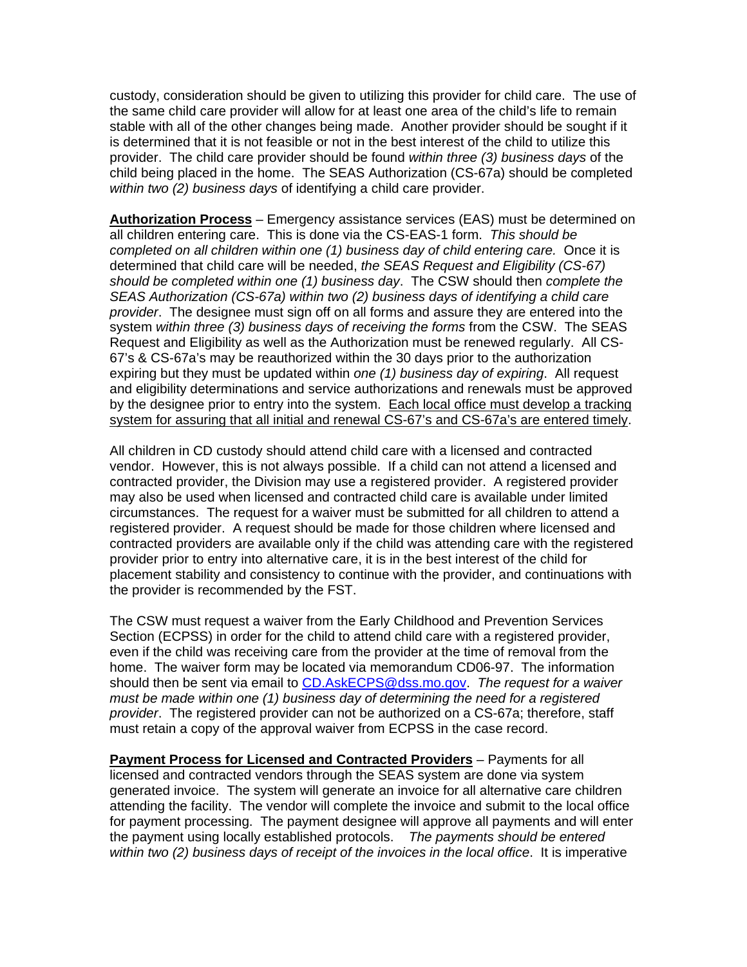custody, consideration should be given to utilizing this provider for child care. The use of the same child care provider will allow for at least one area of the child's life to remain stable with all of the other changes being made. Another provider should be sought if it is determined that it is not feasible or not in the best interest of the child to utilize this provider. The child care provider should be found *within three (3) business days* of the child being placed in the home. The SEAS Authorization (CS-67a) should be completed *within two (2) business days* of identifying a child care provider.

**Authorization Process** – Emergency assistance services (EAS) must be determined on all children entering care. This is done via the CS-EAS-1 form. *This should be completed on all children within one (1) business day of child entering care.* Once it is determined that child care will be needed, *the SEAS Request and Eligibility (CS-67) should be completed within one (1) business day*. The CSW should then *complete the SEAS Authorization (CS-67a) within two (2) business days of identifying a child care provider*. The designee must sign off on all forms and assure they are entered into the system *within three (3) business days of receiving the forms* from the CSW. The SEAS Request and Eligibility as well as the Authorization must be renewed regularly. All CS-67's & CS-67a's may be reauthorized within the 30 days prior to the authorization expiring but they must be updated within *one (1) business day of expiring*. All request and eligibility determinations and service authorizations and renewals must be approved by the designee prior to entry into the system. Each local office must develop a tracking system for assuring that all initial and renewal CS-67's and CS-67a's are entered timely.

All children in CD custody should attend child care with a licensed and contracted vendor. However, this is not always possible. If a child can not attend a licensed and contracted provider, the Division may use a registered provider. A registered provider may also be used when licensed and contracted child care is available under limited circumstances. The request for a waiver must be submitted for all children to attend a registered provider. A request should be made for those children where licensed and contracted providers are available only if the child was attending care with the registered provider prior to entry into alternative care, it is in the best interest of the child for placement stability and consistency to continue with the provider, and continuations with the provider is recommended by the FST.

The CSW must request a waiver from the Early Childhood and Prevention Services Section (ECPSS) in order for the child to attend child care with a registered provider, even if the child was receiving care from the provider at the time of removal from the home. The waiver form may be located via memorandum CD06-97. The information should then be sent via email to [CD.AskECPS@dss.mo.gov](mailto:CD.AskECPS@dss.mo.gov). *The request for a waiver must be made within one (1) business day of determining the need for a registered provider*. The registered provider can not be authorized on a CS-67a; therefore, staff must retain a copy of the approval waiver from ECPSS in the case record.

**Payment Process for Licensed and Contracted Providers** – Payments for all licensed and contracted vendors through the SEAS system are done via system generated invoice. The system will generate an invoice for all alternative care children attending the facility. The vendor will complete the invoice and submit to the local office for payment processing. The payment designee will approve all payments and will enter the payment using locally established protocols. *The payments should be entered within two (2) business days of receipt of the invoices in the local office*. It is imperative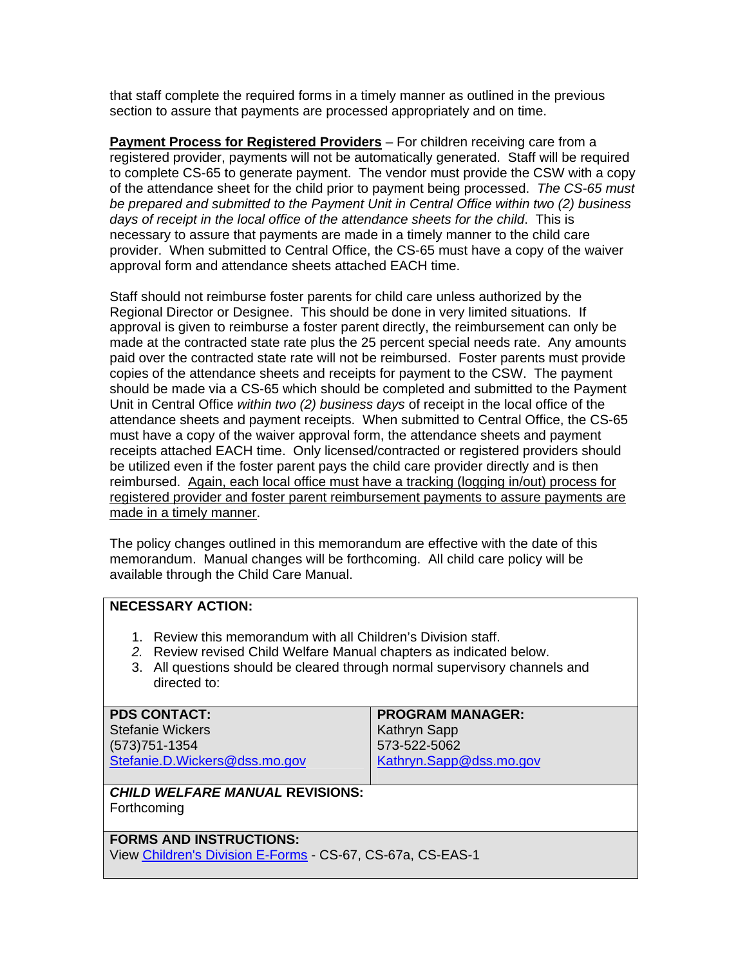that staff complete the required forms in a timely manner as outlined in the previous section to assure that payments are processed appropriately and on time.

**Payment Process for Registered Providers** – For children receiving care from a registered provider, payments will not be automatically generated. Staff will be required to complete CS-65 to generate payment. The vendor must provide the CSW with a copy of the attendance sheet for the child prior to payment being processed. *The CS-65 must be prepared and submitted to the Payment Unit in Central Office within two (2) business days of receipt in the local office of the attendance sheets for the child*. This is necessary to assure that payments are made in a timely manner to the child care provider. When submitted to Central Office, the CS-65 must have a copy of the waiver approval form and attendance sheets attached EACH time.

Staff should not reimburse foster parents for child care unless authorized by the Regional Director or Designee. This should be done in very limited situations. If approval is given to reimburse a foster parent directly, the reimbursement can only be made at the contracted state rate plus the 25 percent special needs rate. Any amounts paid over the contracted state rate will not be reimbursed. Foster parents must provide copies of the attendance sheets and receipts for payment to the CSW. The payment should be made via a CS-65 which should be completed and submitted to the Payment Unit in Central Office *within two (2) business days* of receipt in the local office of the attendance sheets and payment receipts. When submitted to Central Office, the CS-65 must have a copy of the waiver approval form, the attendance sheets and payment receipts attached EACH time. Only licensed/contracted or registered providers should be utilized even if the foster parent pays the child care provider directly and is then reimbursed. Again, each local office must have a tracking (logging in/out) process for registered provider and foster parent reimbursement payments to assure payments are made in a timely manner.

The policy changes outlined in this memorandum are effective with the date of this memorandum. Manual changes will be forthcoming. All child care policy will be available through the Child Care Manual.

### **NECESSARY ACTION:**

- 1. Review this memorandum with all Children's Division staff.
- *2.* Review revised Child Welfare Manual chapters as indicated below.
- 3. All questions should be cleared through normal supervisory channels and directed to:

| <b>PDS CONTACT:</b>           | <b>PROGRAM MANAGER:</b> |
|-------------------------------|-------------------------|
| <b>Stefanie Wickers</b>       | Kathryn Sapp            |
| (573) 751-1354                | 573-522-5062            |
| Stefanie.D.Wickers@dss.mo.gov | Kathryn.Sapp@dss.mo.gov |
|                               |                         |

#### *CHILD WELFARE MANUAL* **REVISIONS:**  Forthcoming

# **FORMS AND INSTRUCTIONS:**

View [Children's Division E-Forms](http://www.dss.mo.gov/cd/info/forms/index.htm) - CS-67, CS-67a, CS-EAS-1